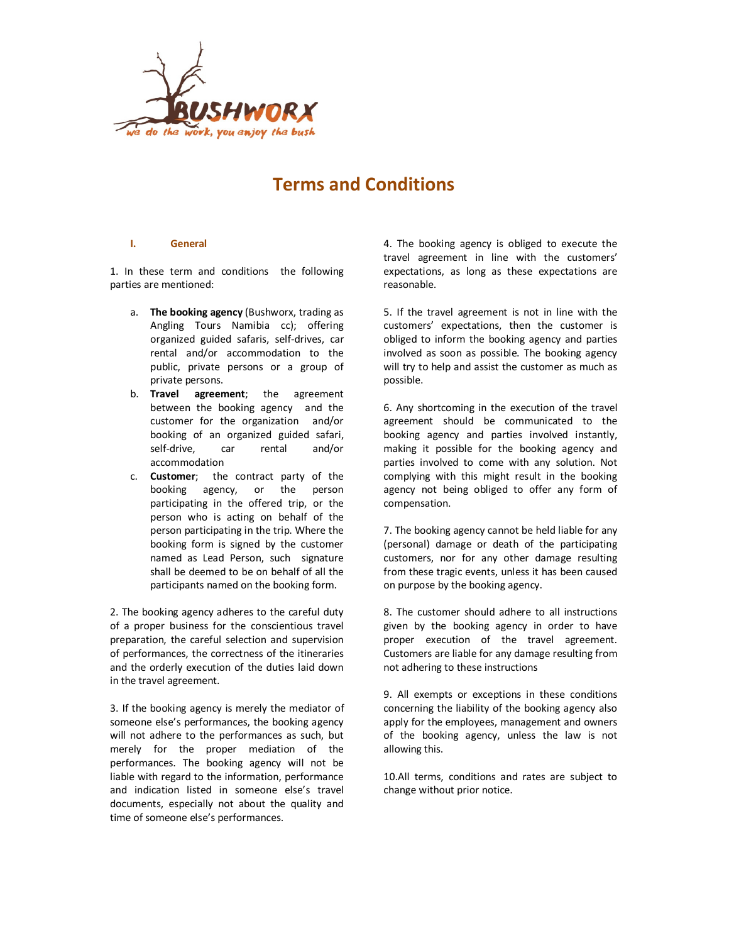

# **Terms and Conditions**

# **I. General**

1. In these term and conditions the following parties are mentioned:

- a. **The booking agency** (Bushworx, trading as Angling Tours Namibia cc); offering organized guided safaris, self-drives, car rental and/or accommodation to the public, private persons or a group of private persons.
- b. **Travel agreement**; the agreement between the booking agency and the customer for the organization and/or booking of an organized guided safari, self-drive, car rental and/or accommodation
- c. **Customer**; the contract party of the booking agency, or the person participating in the offered trip, or the person who is acting on behalf of the person participating in the trip. Where the booking form is signed by the customer named as Lead Person, such signature shall be deemed to be on behalf of all the participants named on the booking form.

2. The booking agency adheres to the careful duty of a proper business for the conscientious travel preparation, the careful selection and supervision of performances, the correctness of the itineraries and the orderly execution of the duties laid down in the travel agreement.

3. If the booking agency is merely the mediator of someone else's performances, the booking agency will not adhere to the performances as such, but merely for the proper mediation of the performances. The booking agency will not be liable with regard to the information, performance and indication listed in someone else's travel documents, especially not about the quality and time of someone else's performances.

4. The booking agency is obliged to execute the travel agreement in line with the customers' expectations, as long as these expectations are reasonable.

5. If the travel agreement is not in line with the customers' expectations, then the customer is obliged to inform the booking agency and parties involved as soon as possible. The booking agency will try to help and assist the customer as much as possible.

6. Any shortcoming in the execution of the travel agreement should be communicated to the booking agency and parties involved instantly, making it possible for the booking agency and parties involved to come with any solution. Not complying with this might result in the booking agency not being obliged to offer any form of compensation.

7. The booking agency cannot be held liable for any (personal) damage or death of the participating customers, nor for any other damage resulting from these tragic events, unless it has been caused on purpose by the booking agency.

8. The customer should adhere to all instructions given by the booking agency in order to have proper execution of the travel agreement. Customers are liable for any damage resulting from not adhering to these instructions

9. All exempts or exceptions in these conditions concerning the liability of the booking agency also apply for the employees, management and owners of the booking agency, unless the law is not allowing this.

10.All terms, conditions and rates are subject to change without prior notice.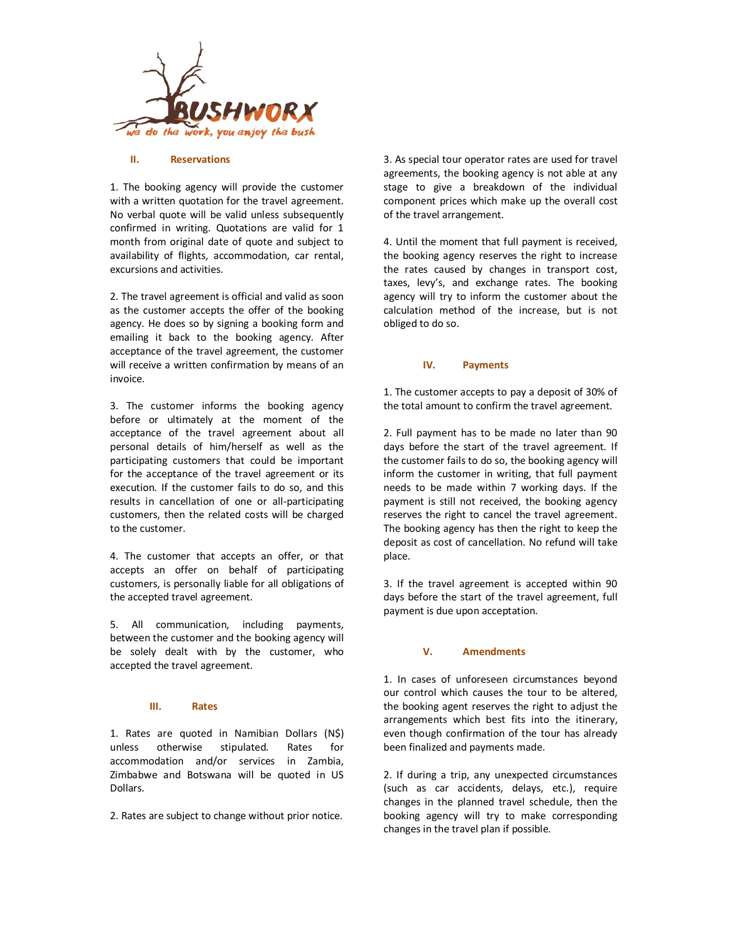

#### **II. Reservations**

1. The booking agency will provide the customer with a written quotation for the travel agreement. No verbal quote will be valid unless subsequently confirmed in writing. Quotations are valid for 1 month from original date of quote and subject to availability of flights, accommodation, car rental, excursions and activities.

2. The travel agreement is official and valid as soon as the customer accepts the offer of the booking agency. He does so by signing a booking form and emailing it back to the booking agency. After acceptance of the travel agreement, the customer will receive a written confirmation by means of an invoice.

3. The customer informs the booking agency before or ultimately at the moment of the acceptance of the travel agreement about all personal details of him/herself as well as the participating customers that could be important for the acceptance of the travel agreement or its execution. If the customer fails to do so, and this results in cancellation of one or all-participating customers, then the related costs will be charged to the customer.

4. The customer that accepts an offer, or that accepts an offer on behalf of participating customers, is personally liable for all obligations of the accepted travel agreement.

5. All communication, including payments, between the customer and the booking agency will be solely dealt with by the customer, who accepted the travel agreement.

#### **III. Rates**

1. Rates are quoted in Namibian Dollars (N\$) unless otherwise stipulated. Rates for accommodation and/or services in Zambia, Zimbabwe and Botswana will be quoted in US Dollars.

2. Rates are subject to change without prior notice.

3. As special tour operator rates are used for travel agreements, the booking agency is not able at any stage to give a breakdown of the individual component prices which make up the overall cost of the travel arrangement.

4. Until the moment that full payment is received, the booking agency reserves the right to increase the rates caused by changes in transport cost, taxes, levy's, and exchange rates. The booking agency will try to inform the customer about the calculation method of the increase, but is not obliged to do so.

#### **IV. Payments**

1. The customer accepts to pay a deposit of 30% of the total amount to confirm the travel agreement.

2. Full payment has to be made no later than 90 days before the start of the travel agreement. If the customer fails to do so, the booking agency will inform the customer in writing, that full payment needs to be made within 7 working days. If the payment is still not received, the booking agency reserves the right to cancel the travel agreement. The booking agency has then the right to keep the deposit as cost of cancellation. No refund will take place.

3. If the travel agreement is accepted within 90 days before the start of the travel agreement, full payment is due upon acceptation.

### **V. Amendments**

1. In cases of unforeseen circumstances beyond our control which causes the tour to be altered, the booking agent reserves the right to adjust the arrangements which best fits into the itinerary, even though confirmation of the tour has already been finalized and payments made.

2. If during a trip, any unexpected circumstances (such as car accidents, delays, etc.), require changes in the planned travel schedule, then the booking agency will try to make corresponding changes in the travel plan if possible.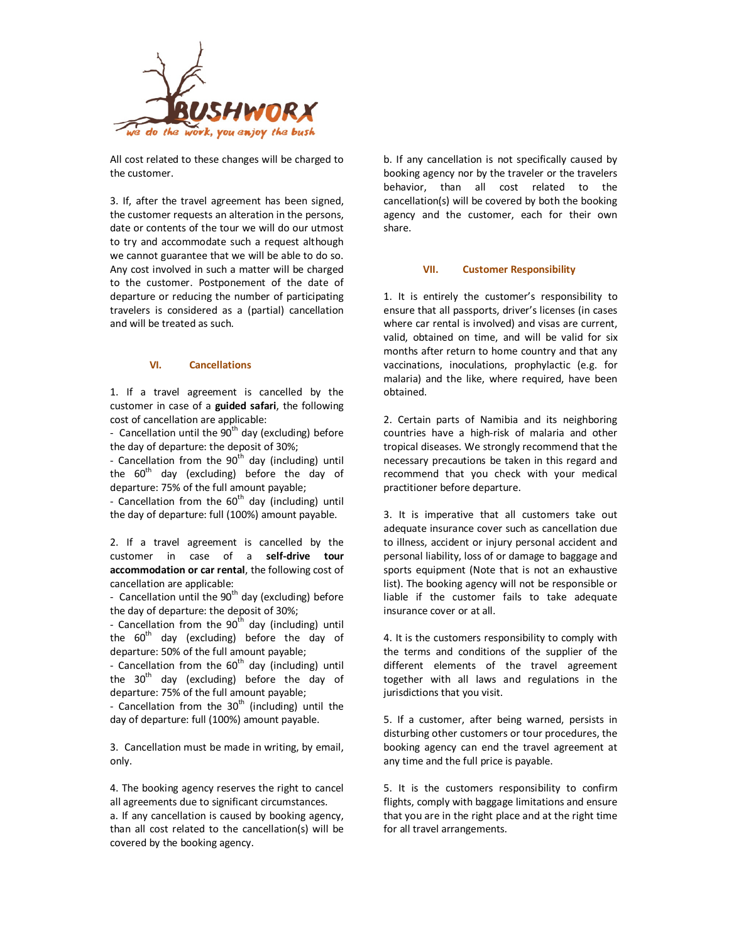

All cost related to these changes will be charged to the customer.

3. If, after the travel agreement has been signed, the customer requests an alteration in the persons, date or contents of the tour we will do our utmost to try and accommodate such a request although we cannot guarantee that we will be able to do so. Any cost involved in such a matter will be charged to the customer. Postponement of the date of departure or reducing the number of participating travelers is considered as a (partial) cancellation and will be treated as such.

# **VI. Cancellations**

1. If a travel agreement is cancelled by the customer in case of a **guided safari**, the following cost of cancellation are applicable:

- Cancellation until the  $90<sup>th</sup>$  day (excluding) before the day of departure: the deposit of 30%;

- Cancellation from the  $90<sup>th</sup>$  day (including) until the 60<sup>th</sup> day (excluding) before the day of departure: 75% of the full amount payable;

- Cancellation from the  $60<sup>th</sup>$  day (including) until the day of departure: full (100%) amount payable.

2. If a travel agreement is cancelled by the customer in case of a **self-drive tour accommodation or car rental**, the following cost of cancellation are applicable:

- Cancellation until the  $90<sup>th</sup>$  day (excluding) before the day of departure: the deposit of 30%;

- Cancellation from the  $90<sup>th</sup>$  day (including) until the  $60<sup>th</sup>$  day (excluding) before the day of departure: 50% of the full amount payable;

- Cancellation from the  $60<sup>th</sup>$  day (including) until the 30<sup>th</sup> day (excluding) before the day of departure: 75% of the full amount payable;

- Cancellation from the  $30<sup>th</sup>$  (including) until the day of departure: full (100%) amount payable.

3. Cancellation must be made in writing, by email, only.

4. The booking agency reserves the right to cancel all agreements due to significant circumstances. a. If any cancellation is caused by booking agency, than all cost related to the cancellation(s) will be covered by the booking agency.

b. If any cancellation is not specifically caused by booking agency nor by the traveler or the travelers behavior, than all cost related to the cancellation(s) will be covered by both the booking agency and the customer, each for their own share.

#### **VII. Customer Responsibility**

1. It is entirely the customer's responsibility to ensure that all passports, driver's licenses (in cases where car rental is involved) and visas are current, valid, obtained on time, and will be valid for six months after return to home country and that any vaccinations, inoculations, prophylactic (e.g. for malaria) and the like, where required, have been obtained.

2. Certain parts of Namibia and its neighboring countries have a high-risk of malaria and other tropical diseases. We strongly recommend that the necessary precautions be taken in this regard and recommend that you check with your medical practitioner before departure.

3. It is imperative that all customers take out adequate insurance cover such as cancellation due to illness, accident or injury personal accident and personal liability, loss of or damage to baggage and sports equipment (Note that is not an exhaustive list). The booking agency will not be responsible or liable if the customer fails to take adequate insurance cover or at all.

4. It is the customers responsibility to comply with the terms and conditions of the supplier of the different elements of the travel agreement together with all laws and regulations in the jurisdictions that you visit.

5. If a customer, after being warned, persists in disturbing other customers or tour procedures, the booking agency can end the travel agreement at any time and the full price is payable.

5. It is the customers responsibility to confirm flights, comply with baggage limitations and ensure that you are in the right place and at the right time for all travel arrangements.